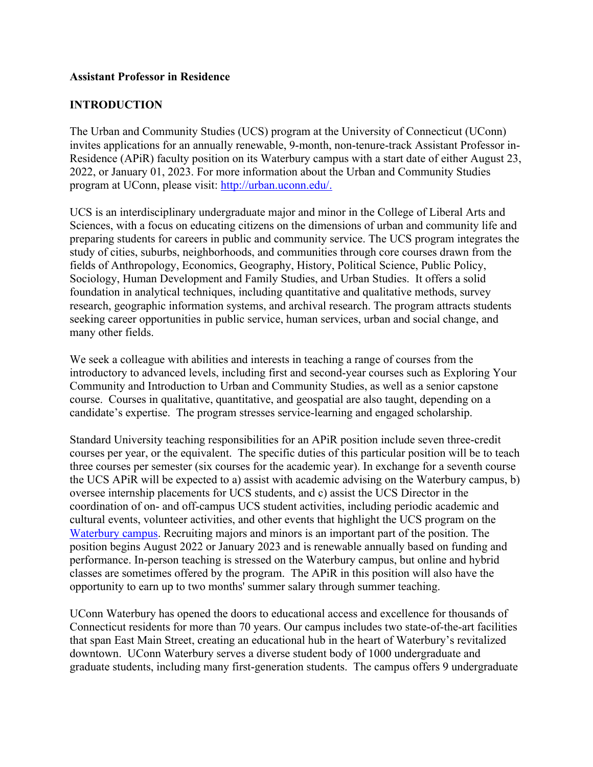#### **Assistant Professor in Residence**

### **INTRODUCTION**

The Urban and Community Studies (UCS) program at the University of Connecticut (UConn) invites applications for an annually renewable, 9-month, non-tenure-track Assistant Professor in-Residence (APiR) faculty position on its Waterbury campus with a start date of either August 23, 2022, or January 01, 2023. For more information about the Urban and Community Studies program at UConn, please visit: http://urban.uconn.edu/.

UCS is an interdisciplinary undergraduate major and minor in the College of Liberal Arts and Sciences, with a focus on educating citizens on the dimensions of urban and community life and preparing students for careers in public and community service. The UCS program integrates the study of cities, suburbs, neighborhoods, and communities through core courses drawn from the fields of Anthropology, Economics, Geography, History, Political Science, Public Policy, Sociology, Human Development and Family Studies, and Urban Studies. It offers a solid foundation in analytical techniques, including quantitative and qualitative methods, survey research, geographic information systems, and archival research. The program attracts students seeking career opportunities in public service, human services, urban and social change, and many other fields.

We seek a colleague with abilities and interests in teaching a range of courses from the introductory to advanced levels, including first and second-year courses such as Exploring Your Community and Introduction to Urban and Community Studies, as well as a senior capstone course. Courses in qualitative, quantitative, and geospatial are also taught, depending on a candidate's expertise. The program stresses service-learning and engaged scholarship.

Standard University teaching responsibilities for an APiR position include seven three-credit courses per year, or the equivalent. The specific duties of this particular position will be to teach three courses per semester (six courses for the academic year). In exchange for a seventh course the UCS APiR will be expected to a) assist with academic advising on the Waterbury campus, b) oversee internship placements for UCS students, and c) assist the UCS Director in the coordination of on- and off-campus UCS student activities, including periodic academic and cultural events, volunteer activities, and other events that highlight the UCS program on the Waterbury campus. Recruiting majors and minors is an important part of the position. The position begins August 2022 or January 2023 and is renewable annually based on funding and performance. In-person teaching is stressed on the Waterbury campus, but online and hybrid classes are sometimes offered by the program. The APiR in this position will also have the opportunity to earn up to two months' summer salary through summer teaching.

UConn Waterbury has opened the doors to educational access and excellence for thousands of Connecticut residents for more than 70 years. Our campus includes two state-of-the-art facilities that span East Main Street, creating an educational hub in the heart of Waterbury's revitalized downtown. UConn Waterbury serves a diverse student body of 1000 undergraduate and graduate students, including many first-generation students. The campus offers 9 undergraduate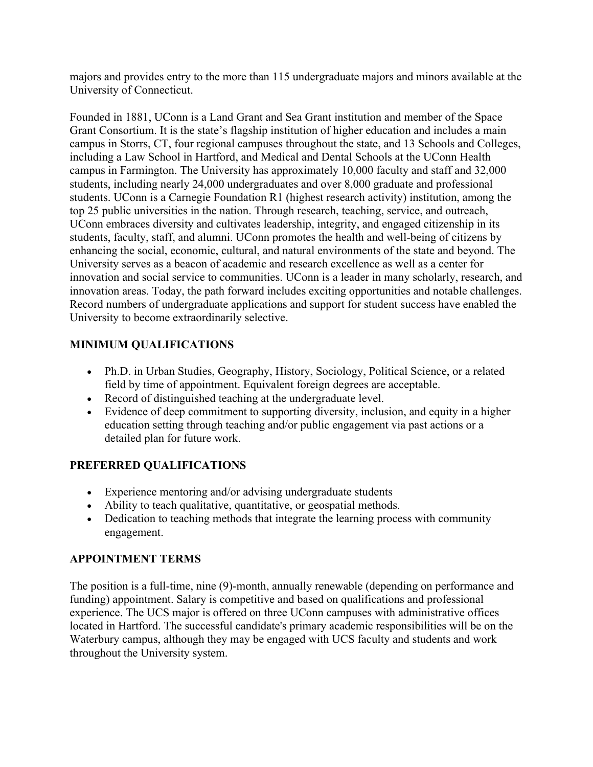majors and provides entry to the more than 115 undergraduate majors and minors available at the University of Connecticut.

Founded in 1881, UConn is a Land Grant and Sea Grant institution and member of the Space Grant Consortium. It is the state's flagship institution of higher education and includes a main campus in Storrs, CT, four regional campuses throughout the state, and 13 Schools and Colleges, including a Law School in Hartford, and Medical and Dental Schools at the UConn Health campus in Farmington. The University has approximately 10,000 faculty and staff and 32,000 students, including nearly 24,000 undergraduates and over 8,000 graduate and professional students. UConn is a Carnegie Foundation R1 (highest research activity) institution, among the top 25 public universities in the nation. Through research, teaching, service, and outreach, UConn embraces diversity and cultivates leadership, integrity, and engaged citizenship in its students, faculty, staff, and alumni. UConn promotes the health and well-being of citizens by enhancing the social, economic, cultural, and natural environments of the state and beyond. The University serves as a beacon of academic and research excellence as well as a center for innovation and social service to communities. UConn is a leader in many scholarly, research, and innovation areas. Today, the path forward includes exciting opportunities and notable challenges. Record numbers of undergraduate applications and support for student success have enabled the University to become extraordinarily selective.

# **MINIMUM QUALIFICATIONS**

- Ph.D. in Urban Studies, Geography, History, Sociology, Political Science, or a related field by time of appointment. Equivalent foreign degrees are acceptable.
- Record of distinguished teaching at the undergraduate level.
- Evidence of deep commitment to supporting diversity, inclusion, and equity in a higher education setting through teaching and/or public engagement via past actions or a detailed plan for future work.

## **PREFERRED QUALIFICATIONS**

- Experience mentoring and/or advising undergraduate students
- Ability to teach qualitative, quantitative, or geospatial methods.
- Dedication to teaching methods that integrate the learning process with community engagement.

## **APPOINTMENT TERMS**

The position is a full-time, nine (9)-month, annually renewable (depending on performance and funding) appointment. Salary is competitive and based on qualifications and professional experience. The UCS major is offered on three UConn campuses with administrative offices located in Hartford. The successful candidate's primary academic responsibilities will be on the Waterbury campus, although they may be engaged with UCS faculty and students and work throughout the University system.